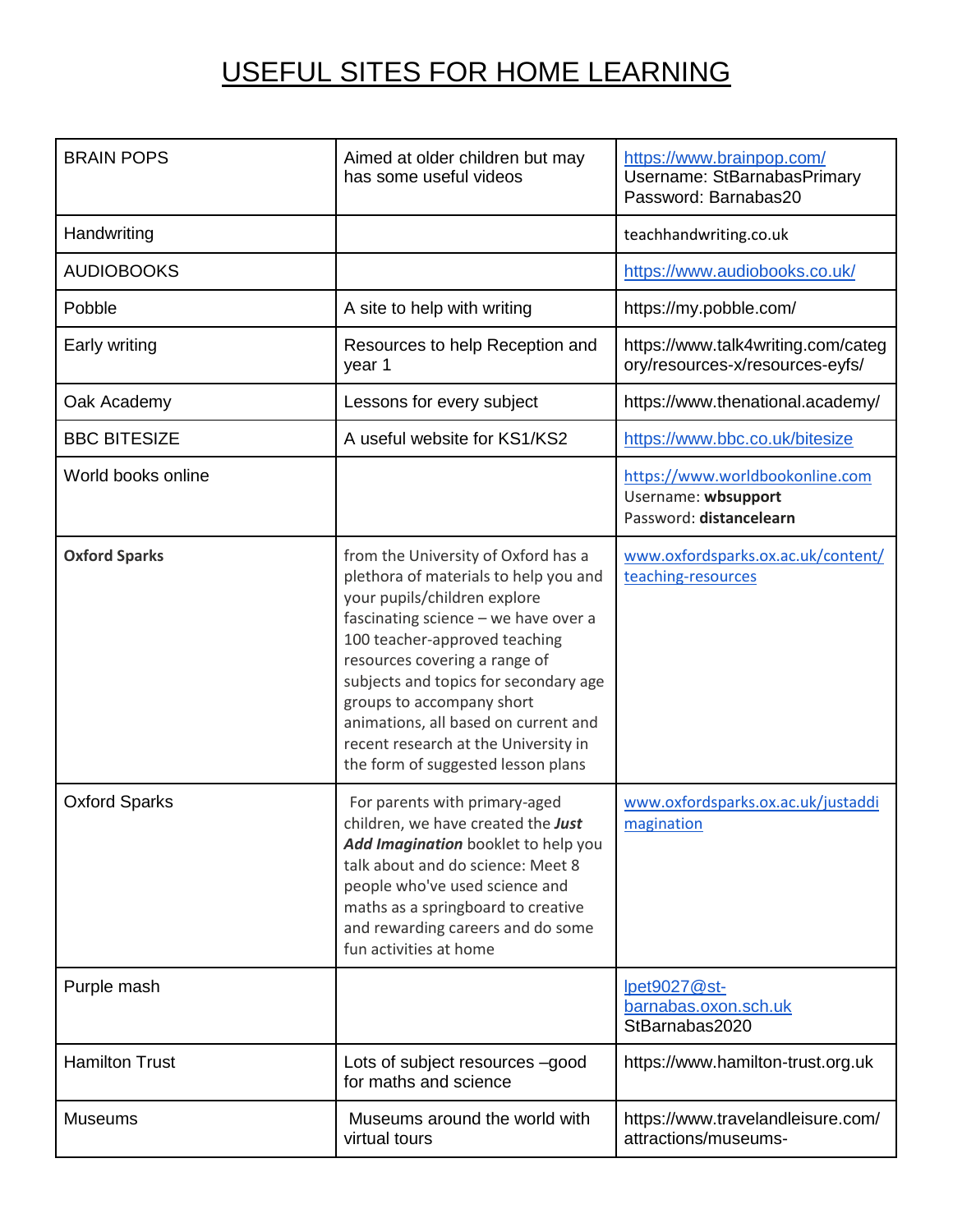## USEFUL SITES FOR HOME LEARNING

| <b>BRAIN POPS</b>     | Aimed at older children but may<br>has some useful videos                                                                                                                                                                                                                                                                                                                                                          | https://www.brainpop.com/<br>Username: StBarnabasPrimary<br>Password: Barnabas20  |
|-----------------------|--------------------------------------------------------------------------------------------------------------------------------------------------------------------------------------------------------------------------------------------------------------------------------------------------------------------------------------------------------------------------------------------------------------------|-----------------------------------------------------------------------------------|
| Handwriting           |                                                                                                                                                                                                                                                                                                                                                                                                                    | teachhandwriting.co.uk                                                            |
| <b>AUDIOBOOKS</b>     |                                                                                                                                                                                                                                                                                                                                                                                                                    | https://www.audiobooks.co.uk/                                                     |
| Pobble                | A site to help with writing                                                                                                                                                                                                                                                                                                                                                                                        | https://my.pobble.com/                                                            |
| Early writing         | Resources to help Reception and<br>year 1                                                                                                                                                                                                                                                                                                                                                                          | https://www.talk4writing.com/categ<br>ory/resources-x/resources-eyfs/             |
| Oak Academy           | Lessons for every subject                                                                                                                                                                                                                                                                                                                                                                                          | https://www.thenational.academy/                                                  |
| <b>BBC BITESIZE</b>   | A useful website for KS1/KS2                                                                                                                                                                                                                                                                                                                                                                                       | https://www.bbc.co.uk/bitesize                                                    |
| World books online    |                                                                                                                                                                                                                                                                                                                                                                                                                    | https://www.worldbookonline.com<br>Username: wbsupport<br>Password: distancelearn |
| <b>Oxford Sparks</b>  | from the University of Oxford has a<br>plethora of materials to help you and<br>your pupils/children explore<br>fascinating science - we have over a<br>100 teacher-approved teaching<br>resources covering a range of<br>subjects and topics for secondary age<br>groups to accompany short<br>animations, all based on current and<br>recent research at the University in<br>the form of suggested lesson plans | www.oxfordsparks.ox.ac.uk/content/<br>teaching-resources                          |
| <b>Oxford Sparks</b>  | For parents with primary-aged<br>children, we have created the Just<br>Add Imagination booklet to help you<br>talk about and do science: Meet 8<br>people who've used science and<br>maths as a springboard to creative<br>and rewarding careers and do some<br>fun activities at home                                                                                                                             | www.oxfordsparks.ox.ac.uk/justaddi<br>magination                                  |
| Purple mash           |                                                                                                                                                                                                                                                                                                                                                                                                                    | <u>lpet9027@st-</u><br>barnabas.oxon.sch.uk<br>StBarnabas2020                     |
| <b>Hamilton Trust</b> | Lots of subject resources -good<br>for maths and science                                                                                                                                                                                                                                                                                                                                                           | https://www.hamilton-trust.org.uk                                                 |
| <b>Museums</b>        | Museums around the world with<br>virtual tours                                                                                                                                                                                                                                                                                                                                                                     | https://www.travelandleisure.com/<br>attractions/museums-                         |